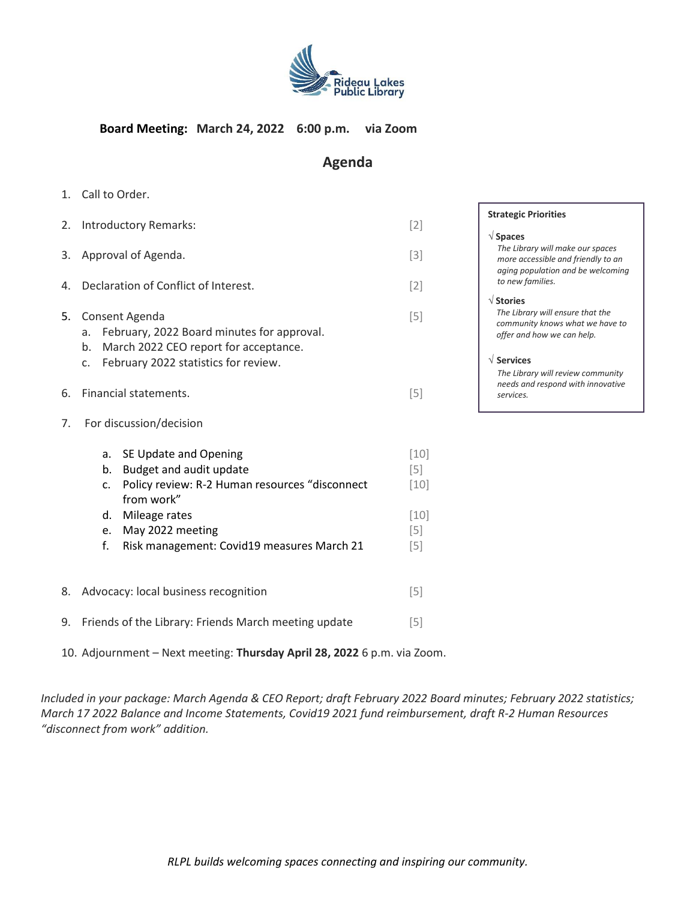

## **Board Meeting: March 24, 2022 6:00 p.m. via Zoom**

## **Agenda**

1. Call to Order.

| 2. | Introductory Remarks:                                                                                                                                           | $[2]$                   |
|----|-----------------------------------------------------------------------------------------------------------------------------------------------------------------|-------------------------|
| 3. | Approval of Agenda.                                                                                                                                             | $[3]$                   |
| 4. | Declaration of Conflict of Interest.                                                                                                                            | $[2]$                   |
| 5. | Consent Agenda<br>February, 2022 Board minutes for approval.<br>a.<br>March 2022 CEO report for acceptance.<br>b.<br>February 2022 statistics for review.<br>C. | $[5]$                   |
| 6. | Financial statements.                                                                                                                                           | $[5]$                   |
| 7. | For discussion/decision                                                                                                                                         |                         |
|    | SE Update and Opening<br>a.<br>Budget and audit update<br>b.<br>Policy review: R-2 Human resources "disconnect<br>c.                                            | $[10]$<br>$[5]$<br>[10] |

e. May 2022 meeting  $[5]$ f. Risk management: Covid19 measures March 21 [5]

d. Mileage rates [10]

from work"

- 8. Advocacy: local business recognition  $[5]$
- 9. Friends of the Library: Friends March meeting update [5]
- 10. Adjournment Next meeting: **Thursday April 28, 2022** 6 p.m. via Zoom.

*Included in your package: March Agenda & CEO Report; draft February 2022 Board minutes; February 2022 statistics; March 17 2022 Balance and Income Statements, Covid19 2021 fund reimbursement, draft R-2 Human Resources "disconnect from work" addition.* 

### **Strategic Priorities**

#### **Spaces**

*The Library will make our spaces more accessible and friendly to an aging population and be welcoming to new families.*

#### **Stories**

*The Library will ensure that the community knows what we have to offer and how we can help.*

#### **Services**

*The Library will review community needs and respond with innovative services.*